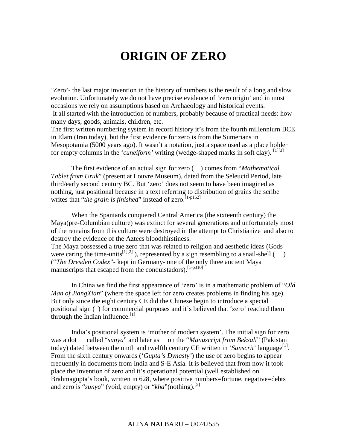## **ORIGIN OF ZERO**

'Zero'- the last major invention in the history of numbers is the result of a long and slow evolution. Unfortunately we do not have precise evidence of 'zero origin' and in most occasions we rely on assumptions based on Archaeology and historical events. It all started with the introduction of numbers, probably because of practical needs: how many days, goods, animals, children, etc.

The first written numbering system in record history it's from the fourth millennium BCE in Elam (Iran today), but the first evidence for zero is from the Sumerians in Mesopotamia (5000 years ago). It wasn't a notation, just a space used as a place holder for empty columns in the '*cuneiform'* writing (wedge-shaped marks in soft clay). [1][3]

 The first evidence of an actual sign for zero ( ) comes from "*Mathematical Tablet from Uruk*" (present at Louvre Museum), dated from the Seleucid Period, late third/early second century BC. But 'zero' does not seem to have been imagined as nothing, just positional because in a text referring to distribution of grains the scribe writes that "*the grain is finished*" instead of zero.<sup>[1-p152]</sup>

 When the Spaniards conquered Central America (the sixteenth century) the Maya(pre-Columbian culture) was extinct for several generations and unfortunately most of the remains from this culture were destroyed in the attempt to Christianize and also to destroy the evidence of the Aztecs bloodthirstiness.

The Maya possessed a true zero that was related to religion and aesthetic ideas (Gods were caring the time-units<sup>[1][2]</sup>), represented by a sign resembling to a snail-shell ( $\qquad$ ) ("*The Dresden Codex*"- kept in Germany- one of the only three ancient Maya manuscripts that escaped from the conquistadors).  $[1-p310]$ 

 In China we find the first appearance of 'zero' is in a mathematic problem of "*Old Man of JiangXian*" (where the space left for zero creates problems in finding his age). But only since the eight century CE did the Chinese begin to introduce a special positional sign ( ) for commercial purposes and it's believed that 'zero' reached them through the Indian influence. $^{[1]}$ 

 India's positional system is 'mother of modern system'. The initial sign for zero was a dot called "*sunya*" and later as on the "*Manuscript from Beksali*" (Pakistan today) dated between the ninth and twelfth century CE written in 'Sanscrit' language<sup>[1]</sup>. From the sixth century onwards ('*Gupta's Dynasty'*) the use of zero begins to appear frequently in documents from India and S-E Asia. It is believed that from now it took place the invention of zero and it's operational potential (well established on Brahmagupta's book, written in 628, where positive numbers=fortune, negative=debts and zero is "*sunya*" (void, empty) or "*kha*"(nothing).<sup>[5]</sup>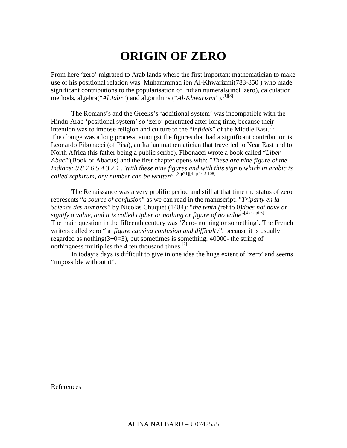## **ORIGIN OF ZERO**

From here 'zero' migrated to Arab lands where the first important mathematician to make use of his positional relation was Muhammmad ibn Al-Khwarizmi(783-850 ) who made significant contributions to the popularisation of Indian numerals(incl. zero), calculation methods, algebra("*Al Jabr*") and algorithms ("*Al-Khwarizmi*").<sup>[1][3]</sup>

 The Romans's and the Greeks's 'additional system' was incompatible with the Hindu-Arab 'positional system' so 'zero' penetrated after long time, because their intention was to impose religion and culture to the "*infidels*" of the Middle East.<sup>[1]</sup> The change was a long process, amongst the figures that had a significant contribution is Leonardo Fibonacci (of Pisa), an Italian mathematician that travelled to Near East and to North Africa (his father being a public scribe). Fibonacci wrote a book called "*Liber Abaci*"(Book of Abacus) and the first chapter opens with: "*These are nine figure of the Indians: 9 8 7 6 5 4 3 2 1 . With these nine figures and with this sign* **o** *which in arabic is called zephirum, any number can be written*" [3-p71][4- p 102-108]

 The Renaissance was a very prolific period and still at that time the status of zero represents "*a source of confusion*" as we can read in the manuscript: "*Triparty en la Science des nombres*" by Nicolas Chuquet (1484): "*the tenth (*ref to 0*)does not have or*  signify a value, and it is called cipher or nothing or figure of no value"<sup>[4-chapt 6]</sup> The main question in the fifteenth century was 'Zero- nothing or something'. The French writers called zero " a *figure causing confusion and difficulty*", because it is usually regarded as nothing  $(3+0=3)$ , but sometimes is something: 40000- the string of nothingness multiplies the 4 ten thousand times.<sup>[2]</sup>

 In today's days is difficult to give in one idea the huge extent of 'zero' and seems "impossible without it".

References